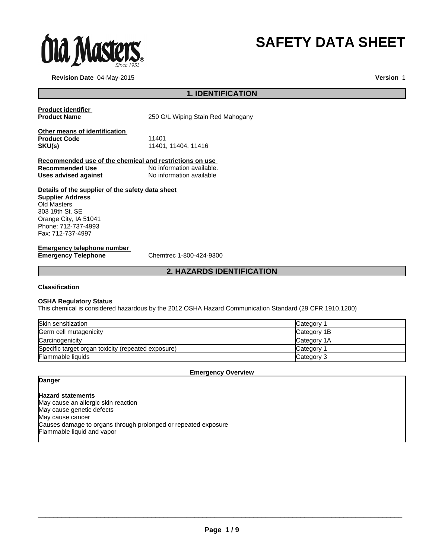

# **SAFETY DATA SHEET**

**Revision Date** 04-May-2015

**Version** 1

# **1. IDENTIFICATION**

**Product identifier** 

250 G/L Wiping Stain Red Mahogany

| Other means of identification |                   |
|-------------------------------|-------------------|
| <b>Product Code</b>           | 11401             |
| SKU(s)                        | 11401.11404.11416 |

**Recommended use of the chemical and restrictions on use**  No information available.<br>No information available **Uses advised against** 

# **Details of the supplier of the safety data sheet**

**Supplier Address** Old Masters 303 19th St. SE Orange City, IA 51041 Phone: 712-737-4993 Fax: 712-737-4997

# **Emergency telephone number<br>Emergency Telephone**

**Emergency Telephone** Chemtrec 1-800-424-9300

# **2. HAZARDS IDENTIFICATION**

#### **Classification**

#### **OSHA Regulatory Status**

This chemical is considered hazardous by the 2012 OSHA Hazard Communication Standard (29 CFR 1910.1200)

| Skin sensitization                                 | Category    |
|----------------------------------------------------|-------------|
| Germ cell mutagenicity                             | Category 1B |
| Carcinogenicity                                    | Category 1A |
| Specific target organ toxicity (repeated exposure) | Category    |
| Flammable liquids                                  | Category 3  |

#### **Emergency Overview**

# **Danger**

#### **Hazard statements**

May cause an allergic skin reaction May cause genetic defects May cause cancer Causes damage to organs through prolonged or repeated exposure Flammable liquid and vapor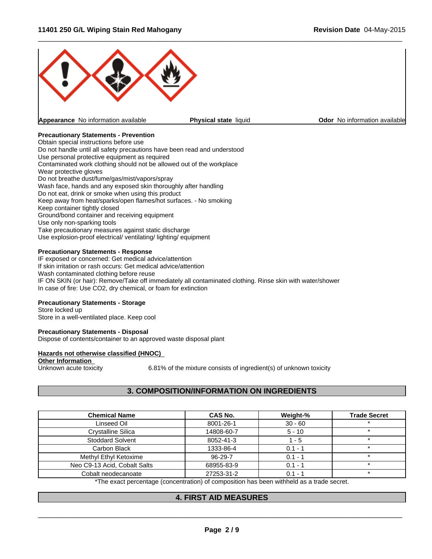

 $\overline{\phantom{a}}$  ,  $\overline{\phantom{a}}$  ,  $\overline{\phantom{a}}$  ,  $\overline{\phantom{a}}$  ,  $\overline{\phantom{a}}$  ,  $\overline{\phantom{a}}$  ,  $\overline{\phantom{a}}$  ,  $\overline{\phantom{a}}$  ,  $\overline{\phantom{a}}$  ,  $\overline{\phantom{a}}$  ,  $\overline{\phantom{a}}$  ,  $\overline{\phantom{a}}$  ,  $\overline{\phantom{a}}$  ,  $\overline{\phantom{a}}$  ,  $\overline{\phantom{a}}$  ,  $\overline{\phantom{a}}$ 

# **Precautionary Statements - Prevention**

Obtain special instructions before use Do not handle until all safety precautions have been read and understood Use personal protective equipment as required Contaminated work clothing should not be allowed out of the workplace Wear protective gloves Do not breathe dust/fume/gas/mist/vapors/spray Wash face, hands and any exposed skin thoroughly after handling Do not eat, drink or smoke when using this product Keep away from heat/sparks/open flames/hot surfaces. - No smoking Keep container tightly closed Ground/bond container and receiving equipment Use only non-sparking tools Take precautionary measures against static discharge Use explosion-proof electrical/ ventilating/ lighting/ equipment

#### **Precautionary Statements - Response**

IF exposed or concerned: Get medical advice/attention If skin irritation or rash occurs: Get medical advice/attention Wash contaminated clothing before reuse IF ON SKIN (or hair): Remove/Take off immediately all contaminated clothing. Rinse skin with water/shower In case of fire: Use CO2, dry chemical, or foam for extinction

# **Precautionary Statements - Storage**

Store locked up Store in a well-ventilated place. Keep cool

#### **Precautionary Statements - Disposal**

Dispose of contents/container to an approved waste disposal plant

#### **Hazards not otherwise classified (HNOC)**

**Other Information**<br>Unknown acute toxicity

6.81% of the mixture consists of ingredient(s) of unknown toxicity

# **3. COMPOSITION/INFORMATION ON INGREDIENTS**

| <b>Chemical Name</b>         | CAS No.    | Weight-%  | <b>Trade Secret</b> |
|------------------------------|------------|-----------|---------------------|
| Linseed Oil                  | 8001-26-1  | $30 - 60$ |                     |
| <b>Crystalline Silica</b>    | 14808-60-7 | $5 - 10$  |                     |
| Stoddard Solvent             | 8052-41-3  | - 5       |                     |
| Carbon Black                 | 1333-86-4  | $0.1 - 1$ |                     |
| Methyl Ethyl Ketoxime        | 96-29-7    | $0.1 - 1$ |                     |
| Neo C9-13 Acid, Cobalt Salts | 68955-83-9 | $0.1 - ?$ |                     |
| Cobalt neodecanoate          | 27253-31-2 | $0.1 -$   |                     |

\*The exact percentage (concentration) of composition has been withheld as a trade secret.

# **4. FIRST AID MEASURES**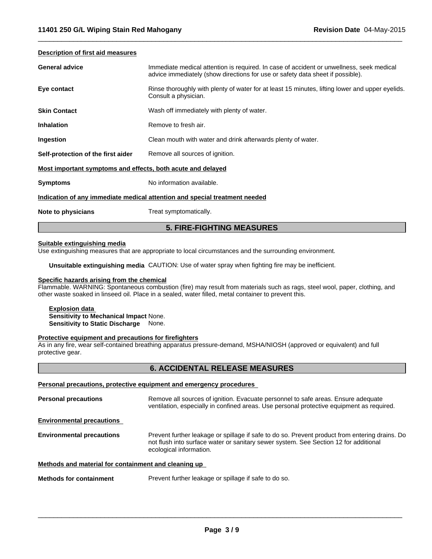#### **Description of first aid measures**

| <b>General advice</b>                                                      | Immediate medical attention is required. In case of accident or unwellness, seek medical<br>advice immediately (show directions for use or safety data sheet if possible). |  |  |
|----------------------------------------------------------------------------|----------------------------------------------------------------------------------------------------------------------------------------------------------------------------|--|--|
| Eye contact                                                                | Rinse thoroughly with plenty of water for at least 15 minutes, lifting lower and upper eyelids.<br>Consult a physician.                                                    |  |  |
| <b>Skin Contact</b>                                                        | Wash off immediately with plenty of water.                                                                                                                                 |  |  |
| <b>Inhalation</b>                                                          | Remove to fresh air.                                                                                                                                                       |  |  |
| Ingestion                                                                  | Clean mouth with water and drink afterwards plenty of water.                                                                                                               |  |  |
| Self-protection of the first aider                                         | Remove all sources of ignition.                                                                                                                                            |  |  |
| Most important symptoms and effects, both acute and delayed                |                                                                                                                                                                            |  |  |
| <b>Symptoms</b>                                                            | No information available.                                                                                                                                                  |  |  |
| Indication of any immediate medical attention and special treatment needed |                                                                                                                                                                            |  |  |
| Note to physicians                                                         | Treat symptomatically.                                                                                                                                                     |  |  |

 $\overline{\phantom{a}}$  ,  $\overline{\phantom{a}}$  ,  $\overline{\phantom{a}}$  ,  $\overline{\phantom{a}}$  ,  $\overline{\phantom{a}}$  ,  $\overline{\phantom{a}}$  ,  $\overline{\phantom{a}}$  ,  $\overline{\phantom{a}}$  ,  $\overline{\phantom{a}}$  ,  $\overline{\phantom{a}}$  ,  $\overline{\phantom{a}}$  ,  $\overline{\phantom{a}}$  ,  $\overline{\phantom{a}}$  ,  $\overline{\phantom{a}}$  ,  $\overline{\phantom{a}}$  ,  $\overline{\phantom{a}}$ 

# **Suitable extinguishing media**

Use extinguishing measures that are appropriate to local circumstances and the surrounding environment.

**Unsuitable extinguishing media** CAUTION: Use of water spray when fighting fire may be inefficient.

# **Specific hazards arising from the chemical**

Flammable. WARNING: Spontaneous combustion (fire) may result from materials such as rags, steel wool, paper, clothing, and other waste soaked in linseed oil. Place in a sealed, water filled, metal container to prevent this.

**5. FIRE-FIGHTING MEASURES**

**Explosion data Sensitivity to Mechanical Impact** None. **Sensitivity to Static Discharge** None.

#### **Protective equipment and precautions for firefighters**

As in any fire, wear self-contained breathing apparatus pressure-demand, MSHA/NIOSH (approved or equivalent) and full protective gear.

#### **6. ACCIDENTAL RELEASE MEASURES**

#### **Personal precautions, protective equipment and emergency procedures**

**Personal precautions** Remove all sources of ignition. Evacuate personnel to safe areas. Ensure adequate ventilation, especially in confined areas. Use personal protective equipment as required. **Environmental precautions Environmental precautions** Prevent further leakage or spillage if safe to do so. Prevent product from entering drains. Do not flush into surface water or sanitary sewer system. See Section 12 for additional ecological information. **Methods and material for containment and cleaning up** 

**Methods for containment** Prevent further leakage or spillage if safe to do so.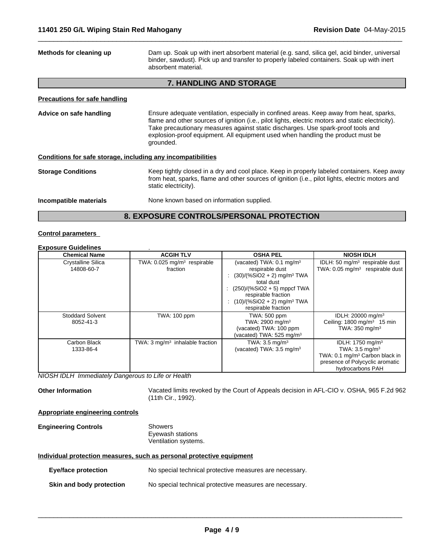| Methods for cleaning up                                      | Dam up. Soak up with inert absorbent material (e.g. sand, silica gel, acid binder, universal<br>binder, sawdust). Pick up and transfer to properly labeled containers. Soak up with inert<br>absorbent material.                                                                                                                                                                 |
|--------------------------------------------------------------|----------------------------------------------------------------------------------------------------------------------------------------------------------------------------------------------------------------------------------------------------------------------------------------------------------------------------------------------------------------------------------|
|                                                              | 7. HANDLING AND STORAGE                                                                                                                                                                                                                                                                                                                                                          |
| Precautions for safe handling                                |                                                                                                                                                                                                                                                                                                                                                                                  |
| Advice on safe handling                                      | Ensure adequate ventilation, especially in confined areas. Keep away from heat, sparks,<br>flame and other sources of ignition (i.e., pilot lights, electric motors and static electricity).<br>Take precautionary measures against static discharges. Use spark-proof tools and<br>explosion-proof equipment. All equipment used when handling the product must be<br>grounded. |
| Conditions for safe storage, including any incompatibilities |                                                                                                                                                                                                                                                                                                                                                                                  |
| <b>Storage Conditions</b>                                    | Keep tightly closed in a dry and cool place. Keep in properly labeled containers. Keep away<br>from heat, sparks, flame and other sources of ignition (i.e., pilot lights, electric motors and<br>static electricity).                                                                                                                                                           |
| Incompatible materials                                       | None known based on information supplied.                                                                                                                                                                                                                                                                                                                                        |
|                                                              | 8. EXPOSURE CONTROLS/PERSONAL PROTECTION                                                                                                                                                                                                                                                                                                                                         |

 $\overline{\phantom{a}}$  ,  $\overline{\phantom{a}}$  ,  $\overline{\phantom{a}}$  ,  $\overline{\phantom{a}}$  ,  $\overline{\phantom{a}}$  ,  $\overline{\phantom{a}}$  ,  $\overline{\phantom{a}}$  ,  $\overline{\phantom{a}}$  ,  $\overline{\phantom{a}}$  ,  $\overline{\phantom{a}}$  ,  $\overline{\phantom{a}}$  ,  $\overline{\phantom{a}}$  ,  $\overline{\phantom{a}}$  ,  $\overline{\phantom{a}}$  ,  $\overline{\phantom{a}}$  ,  $\overline{\phantom{a}}$ 

### **Control parameters**

# **Exposure Guidelines** .

| <b>Chemical Name</b>    | <b>ACGIH TLV</b>                           | <b>OSHA PEL</b>                            | <b>NIOSH IDLH</b>                           |
|-------------------------|--------------------------------------------|--------------------------------------------|---------------------------------------------|
| Crystalline Silica      | TWA: 0.025 mg/m <sup>3</sup> respirable    | (vacated) TWA: $0.1 \text{ mg/m}^3$        | IDLH: 50 $mg/m3$ respirable dust            |
| 14808-60-7              | fraction                                   | respirable dust                            | TWA: 0.05 mg/m <sup>3</sup> respirable dust |
|                         |                                            | $(30)/(%SiO2 + 2)$ mg/m <sup>3</sup> TWA   |                                             |
|                         |                                            | total dust                                 |                                             |
|                         |                                            | $(250)/(%SiO2 + 5)$ mppcf TWA              |                                             |
|                         |                                            | respirable fraction                        |                                             |
|                         |                                            | : $(10)/(%SiO2 + 2)$ mg/m <sup>3</sup> TWA |                                             |
|                         |                                            | respirable fraction                        |                                             |
| <b>Stoddard Solvent</b> | <b>TWA: 100 ppm</b>                        | TWA: 500 ppm                               | IDLH: 20000 mg/m <sup>3</sup>               |
| 8052-41-3               |                                            | TWA: 2900 mg/m <sup>3</sup>                | Ceiling: $1800 \text{ mg/m}^3$ 15 min       |
|                         |                                            | (vacated) TWA: 100 ppm                     | TWA: 350 mg/m <sup>3</sup>                  |
|                         |                                            | (vacated) TWA: 525 mg/m $3$                |                                             |
| Carbon Black            | TWA: $3 \text{ mq/m}^3$ inhalable fraction | TWA: $3.5 \text{ mg/m}^3$                  | IDLH: 1750 mg/m <sup>3</sup>                |
| 1333-86-4               |                                            | (vacated) TWA: 3.5 mg/m <sup>3</sup>       | TWA: $3.5 \text{ mg/m}^3$                   |
|                         |                                            |                                            | TWA: 0.1 mg/m <sup>3</sup> Carbon black in  |
|                         |                                            |                                            | presence of Polycyclic aromatic             |
|                         |                                            |                                            | hydrocarbons PAH                            |

*NIOSH IDLH Immediately Dangerous to Life or Health*

**Other Information** Vacated limits revoked by the Court of Appeals decision in AFL-CIO v. OSHA, 965 F.2d 962 (11th Cir., 1992).

#### **Appropriate engineering controls**

**Engineering Controls** Showers Eyewash stations Ventilation systems.

#### **Individual protection measures, such as personal protective equipment**

| Eye/face protection             | No special technical protective measures are necessary. |
|---------------------------------|---------------------------------------------------------|
| <b>Skin and body protection</b> | No special technical protective measures are necessary. |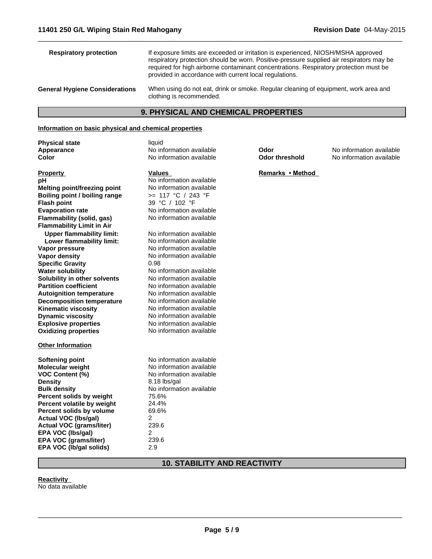**Explosive properties**<br> **Oxidizing properties**<br>
No information available

No information available

**No information available**<br>0.98

**No information available** 

**Solubility in other solvents** No information available

**Vapor pressure**<br> **Vapor density**<br> **Vapor density**<br> **Vapor density**<br> **No information available** 

**Evaporation rate** No information available

**Flammability (solid, gas)** No information available

**Upper flammability limit:** No information available<br> **Lower flammability limit:** No information available

**Partition coefficient** No information available

**Autoignition temperature** No information available<br> **Decomposition temperature** No information available

**Decomposition temperature** No information available<br> **Kinematic viscosity** No information available

**Softening point** No information available **Molecular weight** No information available **VOC Content (%)** No information available

**Bulk density**<br> **Percent solids by weight** 75.6%

**Density** 8.18 lbs/gal

**Percent solids by weight** 75.6%<br>**Percent volatile by weight** 24.4% **Percent volatile by weight** 24.4%<br>**Percent solids by volume** 69.6%

**Actual VOC (lbs/gal)** 2 Actual VOC (grams/liter) 239.6 **EPA VOC (Ibs/gal)** 2<br> **EPA VOC (grams/liter)** 239.6 **EPA VOC (grams/liter)** 239<br>**EPA VOC (Ib/gal solids)** 2.9

| <b>Respiratory protection</b>                         | If exposure limits are exceeded or irritation is experienced, NIOSH/MSHA approved<br>respiratory protection should be worn. Positive-pressure supplied air respirators may be<br>required for high airborne contaminant concentrations. Respiratory protection must be<br>provided in accordance with current local regulations. |                  |                          |
|-------------------------------------------------------|----------------------------------------------------------------------------------------------------------------------------------------------------------------------------------------------------------------------------------------------------------------------------------------------------------------------------------|------------------|--------------------------|
| <b>General Hygiene Considerations</b>                 | When using do not eat, drink or smoke. Regular cleaning of equipment, work area and<br>clothing is recommended.                                                                                                                                                                                                                  |                  |                          |
|                                                       | <b>9. PHYSICAL AND CHEMICAL PROPERTIES</b>                                                                                                                                                                                                                                                                                       |                  |                          |
| Information on basic physical and chemical properties |                                                                                                                                                                                                                                                                                                                                  |                  |                          |
| <b>Physical state</b>                                 | liquid                                                                                                                                                                                                                                                                                                                           |                  |                          |
| Appearance                                            | No information available                                                                                                                                                                                                                                                                                                         | Odor             | No information available |
| Color                                                 | No information available                                                                                                                                                                                                                                                                                                         | Odor threshold   | No information available |
| <b>Property</b>                                       | Values                                                                                                                                                                                                                                                                                                                           | Remarks • Method |                          |
| рH                                                    | No information available                                                                                                                                                                                                                                                                                                         |                  |                          |
| Melting point/freezing point                          | No information available                                                                                                                                                                                                                                                                                                         |                  |                          |
| Boiling point / boiling range                         | >= 117 °C / 243 °F                                                                                                                                                                                                                                                                                                               |                  |                          |
| <b>Flash point</b>                                    | 39 °C / 102 °F                                                                                                                                                                                                                                                                                                                   |                  |                          |

 $\overline{\phantom{a}}$  ,  $\overline{\phantom{a}}$  ,  $\overline{\phantom{a}}$  ,  $\overline{\phantom{a}}$  ,  $\overline{\phantom{a}}$  ,  $\overline{\phantom{a}}$  ,  $\overline{\phantom{a}}$  ,  $\overline{\phantom{a}}$  ,  $\overline{\phantom{a}}$  ,  $\overline{\phantom{a}}$  ,  $\overline{\phantom{a}}$  ,  $\overline{\phantom{a}}$  ,  $\overline{\phantom{a}}$  ,  $\overline{\phantom{a}}$  ,  $\overline{\phantom{a}}$  ,  $\overline{\phantom{a}}$ 

# **10. STABILITY AND REACTIVITY**

# **Reactivity**

No data available

**Oxidizing properties** 

**Kinematic viscosity**<br>Dynamic viscosity

**Specific Gravity<br>Water solubility** 

**Flammability Limit in Air**

**Lower flammability limit:**<br>Vapor pressure

**Percent solids by volume** 

**EPA VOC (lb/gal solids)** 2.9

**Other Information**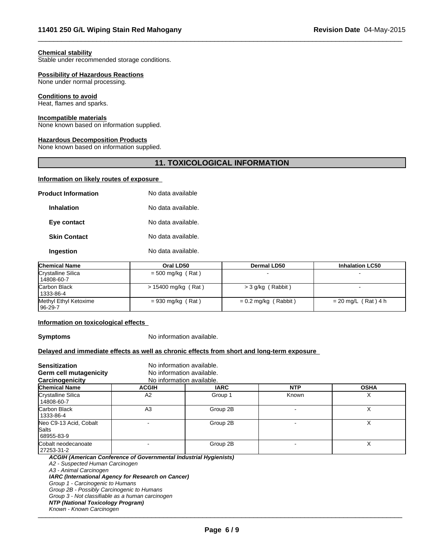#### **Chemical stability**

Stable under recommended storage conditions.

#### **Possibility of Hazardous Reactions**

None under normal processing.

#### **Conditions to avoid**

Heat, flames and sparks.

#### **Incompatible materials**

None known based on information supplied.

#### **Hazardous Decomposition Products**

None known based on information supplied.

# **11. TOXICOLOGICAL INFORMATION**

 $\overline{\phantom{a}}$  ,  $\overline{\phantom{a}}$  ,  $\overline{\phantom{a}}$  ,  $\overline{\phantom{a}}$  ,  $\overline{\phantom{a}}$  ,  $\overline{\phantom{a}}$  ,  $\overline{\phantom{a}}$  ,  $\overline{\phantom{a}}$  ,  $\overline{\phantom{a}}$  ,  $\overline{\phantom{a}}$  ,  $\overline{\phantom{a}}$  ,  $\overline{\phantom{a}}$  ,  $\overline{\phantom{a}}$  ,  $\overline{\phantom{a}}$  ,  $\overline{\phantom{a}}$  ,  $\overline{\phantom{a}}$ 

### **Information on likely routes of exposure**

| <b>Product Information</b> | No data available  |  |
|----------------------------|--------------------|--|
| <b>Inhalation</b>          | No data available. |  |
| Eye contact                | No data available. |  |
| <b>Skin Contact</b>        | No data available. |  |
| Ingestion                  | No data available. |  |

| <b>Chemical Name</b>               | Oral LD50           | <b>Dermal LD50</b>     | <b>Inhalation LC50</b> |
|------------------------------------|---------------------|------------------------|------------------------|
| Crystalline Silica<br>  14808-60-7 | $=$ 500 mg/kg (Rat) |                        |                        |
| <b>Carbon Black</b><br>  1333-86-4 | > 15400 mg/kg (Rat) | >3 g/kg (Rabbit)       |                        |
| Methyl Ethyl Ketoxime<br>  96-29-7 | $= 930$ mg/kg (Rat) | $= 0.2$ mg/kg (Rabbit) | $= 20$ mg/L (Rat) 4 h  |

#### **Information on toxicological effects**

**Symptoms** No information available.

# **Delayed and immediate effects as well as chronic effects from short and long-term exposure**

| <b>Sensitization</b><br>Germ cell mutagenicity<br>Carcinogenicity | No information available.<br>No information available.<br>No information available. |             |            |             |
|-------------------------------------------------------------------|-------------------------------------------------------------------------------------|-------------|------------|-------------|
| <b>Chemical Name</b>                                              | <b>ACGIH</b>                                                                        | <b>IARC</b> | <b>NTP</b> | <b>OSHA</b> |
| Crystalline Silica<br>  14808-60-7                                | A <sub>2</sub>                                                                      | Group 1     | Known      |             |
| Carbon Black<br>  1333-86-4                                       | A <sub>3</sub>                                                                      | Group 2B    |            |             |
| Neo C9-13 Acid, Cobalt<br><b>Salts</b><br>68955-83-9              |                                                                                     | Group 2B    |            |             |
| Cobalt neodecanoate<br>27253-31-2                                 |                                                                                     | Group 2B    |            |             |
| ACGIH (American Conference of Governmental Industrial Hygienists) |                                                                                     |             |            |             |

*A2 - Suspected Human Carcinogen*

*A3 - Animal Carcinogen*

*IARC (International Agency for Research on Cancer)*

*Group 1 - Carcinogenic to Humans*

*Group 2B - Possibly Carcinogenic to Humans*

*Group 3 - Not classifiable as a human carcinogen*

*NTP (National Toxicology Program)*

*Known - Known Carcinogen* \_\_\_\_\_\_\_\_\_\_\_\_\_\_\_\_\_\_\_\_\_\_\_\_\_\_\_\_\_\_\_\_\_\_\_\_\_\_\_\_\_\_\_\_\_\_\_\_\_\_\_\_\_\_\_\_\_\_\_\_\_\_\_\_\_\_\_\_\_\_\_\_\_\_\_\_\_\_\_\_\_\_\_\_\_\_\_\_\_\_\_\_\_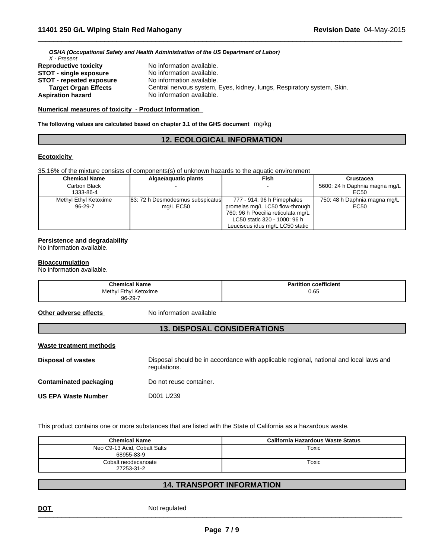*OSHA (Occupational Safety and Health Administration of the US Department of Labor) X - Present*

| <b>Reproductive toxicity</b>    | No information available.                                              |
|---------------------------------|------------------------------------------------------------------------|
| <b>STOT - single exposure</b>   | No information available.                                              |
| <b>STOT - repeated exposure</b> | No information available.                                              |
| <b>Target Organ Effects</b>     | Central nervous system, Eyes, kidney, lungs, Respiratory system, Skin. |
| <b>Aspiration hazard</b>        | No information available.                                              |

#### **Numerical measures of toxicity - Product Information**

**The following values are calculated based on chapter 3.1 of the GHS document** mg/kg

# **12. ECOLOGICAL INFORMATION**

 $\overline{\phantom{a}}$  ,  $\overline{\phantom{a}}$  ,  $\overline{\phantom{a}}$  ,  $\overline{\phantom{a}}$  ,  $\overline{\phantom{a}}$  ,  $\overline{\phantom{a}}$  ,  $\overline{\phantom{a}}$  ,  $\overline{\phantom{a}}$  ,  $\overline{\phantom{a}}$  ,  $\overline{\phantom{a}}$  ,  $\overline{\phantom{a}}$  ,  $\overline{\phantom{a}}$  ,  $\overline{\phantom{a}}$  ,  $\overline{\phantom{a}}$  ,  $\overline{\phantom{a}}$  ,  $\overline{\phantom{a}}$ 

#### **Ecotoxicity**

35.16% of the mixture consists of components(s) of unknown hazards to the aquatic environment

| <b>Chemical Name</b>             | Algae/aguatic plants                          | <b>Fish</b>                                                                                                                                                              | Crustacea                             |
|----------------------------------|-----------------------------------------------|--------------------------------------------------------------------------------------------------------------------------------------------------------------------------|---------------------------------------|
| Carbon Black<br>1333-86-4        |                                               |                                                                                                                                                                          | 5600: 24 h Daphnia magna mg/L<br>EC50 |
| Methyl Ethyl Ketoxime<br>96-29-7 | 83: 72 h Desmodesmus subspicatus<br>mg/L EC50 | 777 - 914: 96 h Pimephales<br>promelas mg/L LC50 flow-through  <br>760: 96 h Poecilia reticulata mg/L<br>LC50 static 320 - 1000: 96 h<br>Leuciscus idus mg/L LC50 static | 750: 48 h Daphnia magna mg/L<br>EC50  |

#### **Persistence and degradability**

No information available.

#### **Bioaccumulation**

No information available.

| <b>Chemical Name</b>       | <b>Partition coefficient</b> |
|----------------------------|------------------------------|
| I Ethvl Ketoxime<br>Methyl | 0.65                         |
| 96-29-7                    |                              |

**Other adverse effects** No information available

# **13. DISPOSAL CONSIDERATIONS**

#### **Waste treatment methods**

**Disposal of wastes** Disposal should be in accordance with applicable regional, national and local laws and regulations. **Contaminated packaging Do not reuse container. US EPA Waste Number** D001 U239

This product contains one or more substances that are listed with the State of California as a hazardous waste.

| <b>Chemical Name</b>                       | California Hazardous Waste Status |
|--------------------------------------------|-----------------------------------|
| Neo C9-13 Acid, Cobalt Salts<br>68955-83-9 | Toxic                             |
| Cobalt neodecanoate<br>27253-31-2          | Toxic                             |

# **14. TRANSPORT INFORMATION**

**DOT** Not regulated \_\_\_\_\_\_\_\_\_\_\_\_\_\_\_\_\_\_\_\_\_\_\_\_\_\_\_\_\_\_\_\_\_\_\_\_\_\_\_\_\_\_\_\_\_\_\_\_\_\_\_\_\_\_\_\_\_\_\_\_\_\_\_\_\_\_\_\_\_\_\_\_\_\_\_\_\_\_\_\_\_\_\_\_\_\_\_\_\_\_\_\_\_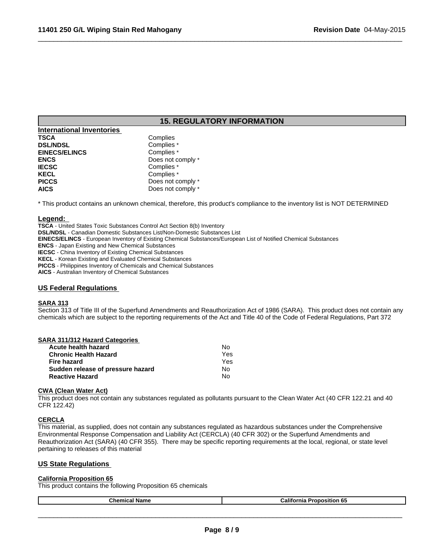# **15. REGULATORY INFORMATION**

 $\overline{\phantom{a}}$  ,  $\overline{\phantom{a}}$  ,  $\overline{\phantom{a}}$  ,  $\overline{\phantom{a}}$  ,  $\overline{\phantom{a}}$  ,  $\overline{\phantom{a}}$  ,  $\overline{\phantom{a}}$  ,  $\overline{\phantom{a}}$  ,  $\overline{\phantom{a}}$  ,  $\overline{\phantom{a}}$  ,  $\overline{\phantom{a}}$  ,  $\overline{\phantom{a}}$  ,  $\overline{\phantom{a}}$  ,  $\overline{\phantom{a}}$  ,  $\overline{\phantom{a}}$  ,  $\overline{\phantom{a}}$ 

| <b>International Inventories</b> |                   |
|----------------------------------|-------------------|
| <b>TSCA</b>                      | Complies          |
| <b>DSL/NDSL</b>                  | Complies *        |
| <b>EINECS/ELINCS</b>             | Complies *        |
| <b>ENCS</b>                      | Does not comply * |
| <b>IECSC</b>                     | Complies *        |
| <b>KECL</b>                      | Complies *        |
| <b>PICCS</b>                     | Does not comply * |
| <b>AICS</b>                      | Does not comply * |

\* This product contains an unknown chemical, therefore, this product's compliance to the inventory list is NOT DETERMINED

#### **Legend:**

**TSCA** - United States Toxic Substances Control Act Section 8(b) Inventory **DSL/NDSL** - Canadian Domestic Substances List/Non-Domestic Substances List **EINECS/ELINCS** - European Inventory of Existing Chemical Substances/European List of Notified Chemical Substances **ENCS** - Japan Existing and New Chemical Substances **IECSC** - China Inventory of Existing Chemical Substances **KECL** - Korean Existing and Evaluated Chemical Substances **PICCS** - Philippines Inventory of Chemicals and Chemical Substances **AICS** - Australian Inventory of Chemical Substances

#### **US Federal Regulations**

#### **SARA 313**

Section 313 of Title III of the Superfund Amendments and Reauthorization Act of 1986 (SARA). This product does not contain any chemicals which are subject to the reporting requirements of the Act and Title 40 of the Code of Federal Regulations, Part 372

|  | <b>SARA 311/312 Hazard Categories</b> |  |  |  |
|--|---------------------------------------|--|--|--|
|--|---------------------------------------|--|--|--|

| Acute health hazard               | N٥  |
|-----------------------------------|-----|
| <b>Chronic Health Hazard</b>      | Yes |
| Fire hazard                       | Yes |
| Sudden release of pressure hazard | No. |
| <b>Reactive Hazard</b>            | No  |

#### **CWA (Clean Water Act)**

This product does not contain any substances regulated as pollutants pursuant to the Clean Water Act (40 CFR 122.21 and 40 CFR 122.42)

#### **CERCLA**

This material, as supplied, does not contain any substances regulated as hazardous substances under the Comprehensive Environmental Response Compensation and Liability Act (CERCLA) (40 CFR 302) or the Superfund Amendments and Reauthorization Act (SARA) (40 CFR 355). There may be specific reporting requirements at the local, regional, or state level pertaining to releases of this material

# **US State Regulations**

#### **California Proposition 65**

This product contains the following Proposition 65 chemicals

| nhom.<br>ume | - 126.<br>.וור<br>mia<br>ASITION.<br>- O.C |
|--------------|--------------------------------------------|
|              |                                            |